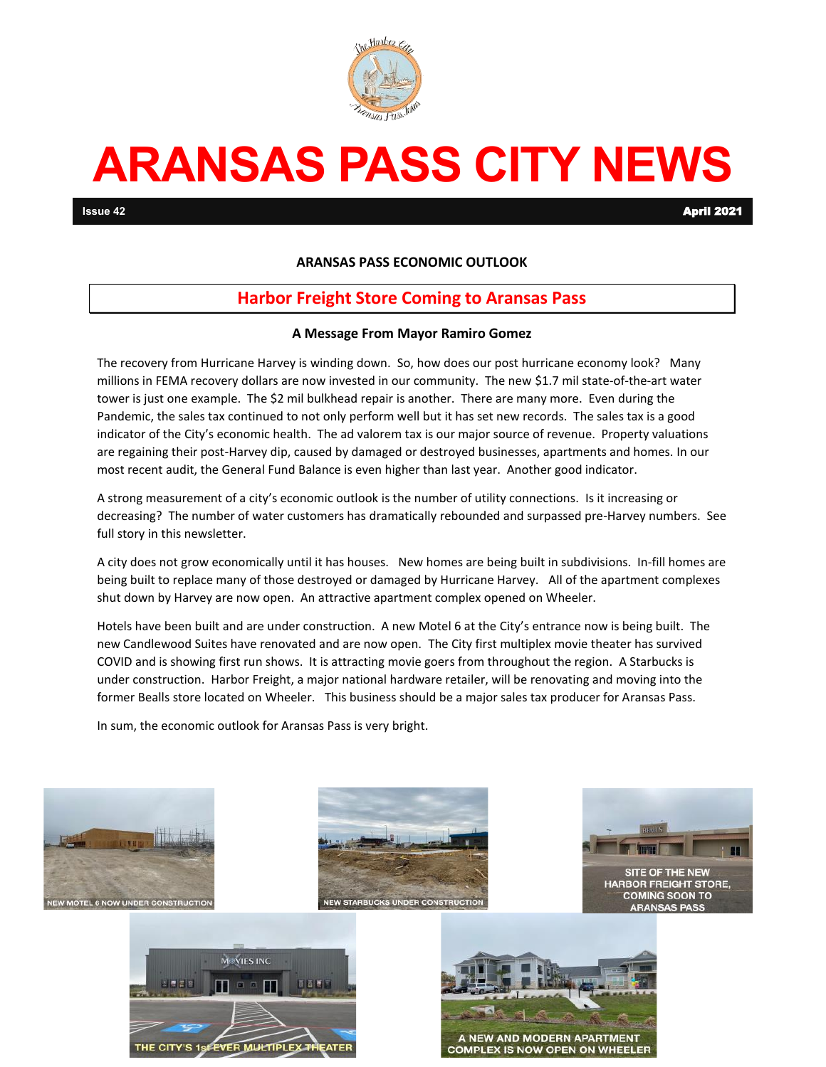

# **ARANSAS PASS CITY NEWS**

**Issue 42** April 2021

#### **ARANSAS PASS ECONOMIC OUTLOOK**

### **Harbor Freight Store Coming to Aransas Pass**

#### **A Message From Mayor Ramiro Gomez**

The recovery from Hurricane Harvey is winding down. So, how does our post hurricane economy look? Many millions in FEMA recovery dollars are now invested in our community. The new \$1.7 mil state-of-the-art water tower is just one example. The \$2 mil bulkhead repair is another. There are many more. Even during the Pandemic, the sales tax continued to not only perform well but it has set new records. The sales tax is a good indicator of the City's economic health. The ad valorem tax is our major source of revenue. Property valuations are regaining their post-Harvey dip, caused by damaged or destroyed businesses, apartments and homes. In our most recent audit, the General Fund Balance is even higher than last year. Another good indicator.

A strong measurement of a city's economic outlook is the number of utility connections. Is it increasing or decreasing? The number of water customers has dramatically rebounded and surpassed pre-Harvey numbers. See full story in this newsletter.

A city does not grow economically until it has houses. New homes are being built in subdivisions. In-fill homes are being built to replace many of those destroyed or damaged by Hurricane Harvey. All of the apartment complexes shut down by Harvey are now open. An attractive apartment complex opened on Wheeler.

Hotels have been built and are under construction. A new Motel 6 at the City's entrance now is being built. The new Candlewood Suites have renovated and are now open. The City first multiplex movie theater has survived COVID and is showing first run shows. It is attracting movie goers from throughout the region. A Starbucks is under construction. Harbor Freight, a major national hardware retailer, will be renovating and moving into the former Bealls store located on Wheeler. This business should be a major sales tax producer for Aransas Pass.

In sum, the economic outlook for Aransas Pass is very bright.









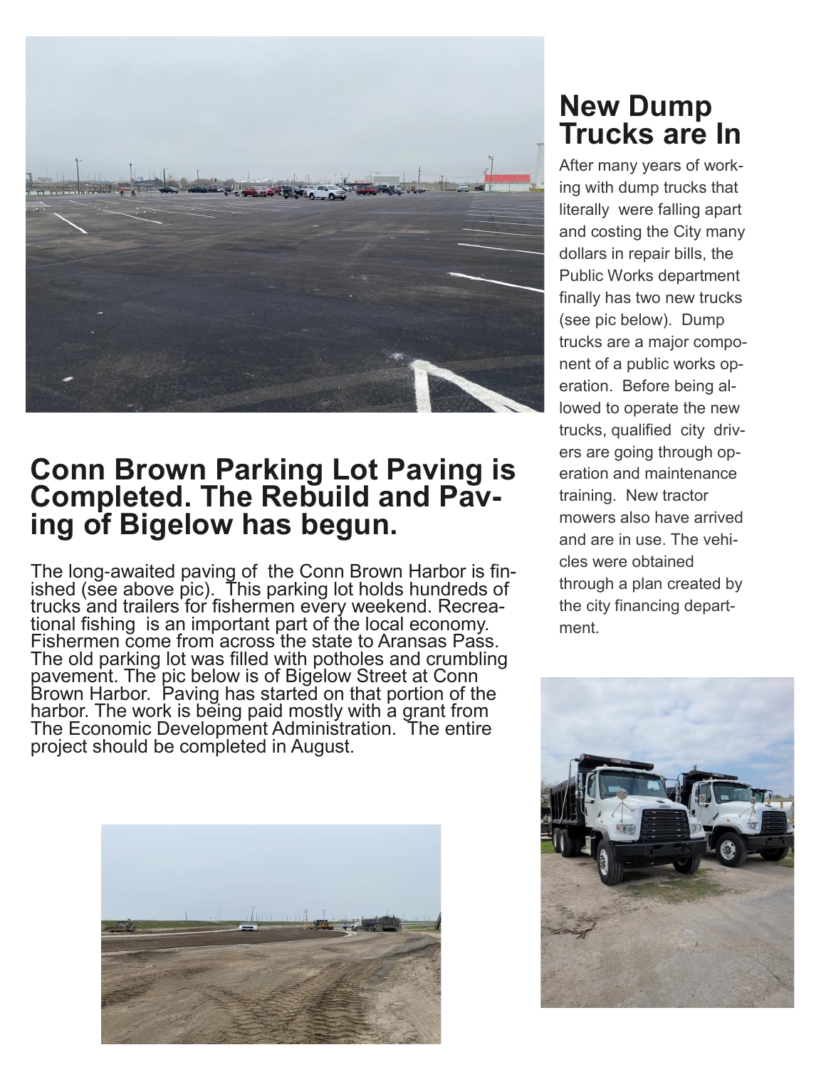

### **Conn Brown Parking Lot Paving is Completed. The Rebuild and Paving of Bigelow has begun.**

The long-awaited paving of the Conn Brown Harbor is finished (see above pic). This parking lot holds hundreds of trucks and trailers for fishermen every weekend. Recreational fishing is an important part of the local economy. Fishermen come from across the state to Aransas Pass. The old parking lot was filled with potholes and crumbling pavement. The pic below is of Bigelow Street at Conn Brown Harbor. Paving has started on that portion of the harbor. The work is being paid mostly with a grant from The Economic Development Administration. The entire project should be completed in August.



## **New Dump Trucks are In**

After many years of working with dump trucks that literally were falling apart and costing the City many dollars in repair bills, the Public Works department finally has two new trucks (see pic below). Dump trucks are a major component of a public works operation. Before being allowed to operate the new trucks, qualified city drivers are going through operation and maintenance training. New tractor mowers also have arrived and are in use. The vehicles were obtained through a plan created by the city financing department.

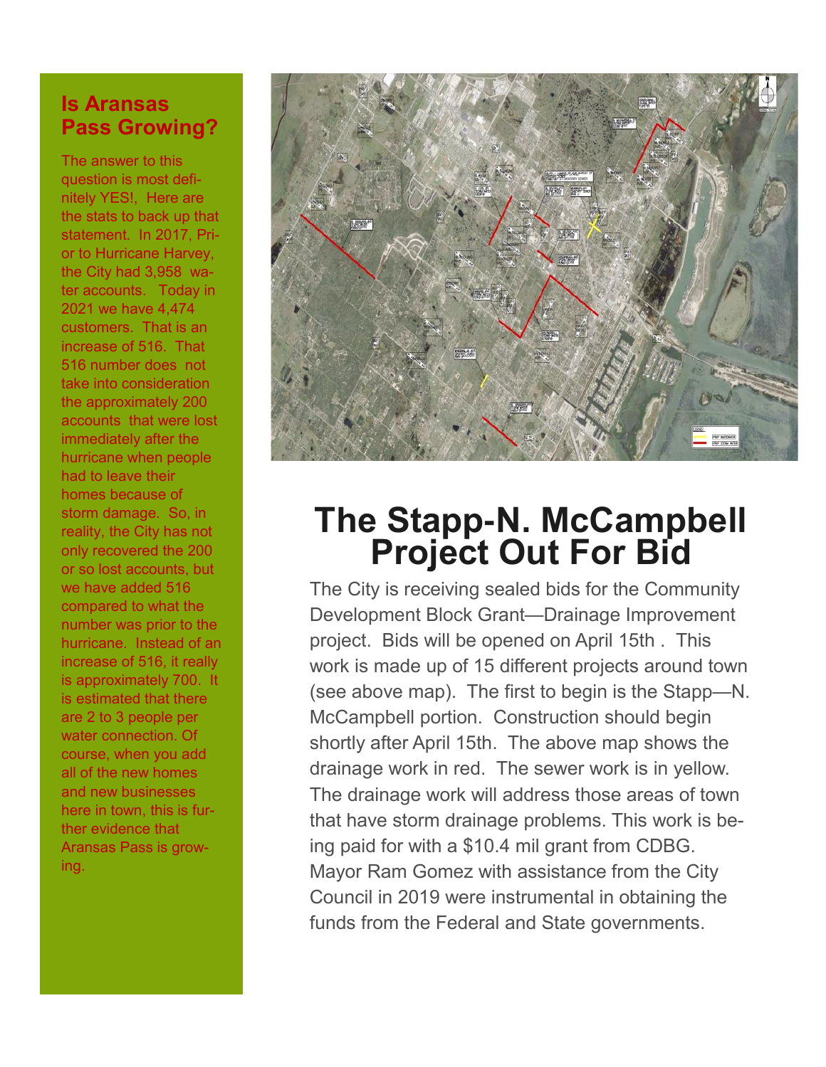### **Is Aransas Pass Growing?**

The answer to this question is most definitely YES!, Here are the stats to back up that statement. In 2017, Prior to Hurricane Harvey, the City had 3,958 water accounts. Today in 2021 we have 4,474 customers. That is an increase of 516. That 516 number does not take into consideration the approximately 200 accounts that were lost immediately after the hurricane when people had to leave their homes because of storm damage. So, in reality, the City has not only recovered the 200 or so lost accounts, but we have added 516 compared to what the number was prior to the hurricane. Instead of an increase of 516, it really is approximately 700. It is estimated that there are 2 to 3 people per water connection. Of course, when you add all of the new homes and new businesses here in town, this is further evidence that Aransas Pass is growing.



# **The Stapp-N. McCampbell Project Out For Bid**

The City is receiving sealed bids for the Community Development Block Grant—Drainage Improvement project. Bids will be opened on April 15th . This work is made up of 15 different projects around town (see above map). The first to begin is the Stapp—N. McCampbell portion. Construction should begin shortly after April 15th. The above map shows the drainage work in red. The sewer work is in yellow. The drainage work will address those areas of town that have storm drainage problems. This work is being paid for with a \$10.4 mil grant from CDBG. Mayor Ram Gomez with assistance from the City Council in 2019 were instrumental in obtaining the funds from the Federal and State governments.